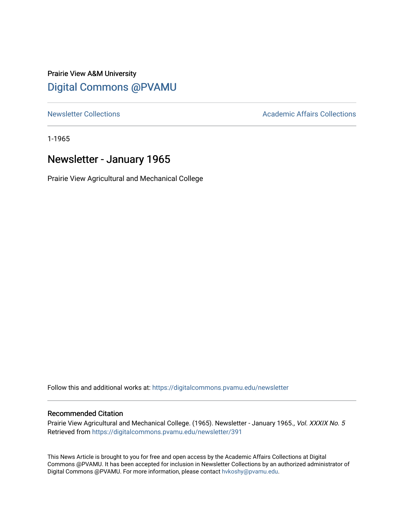### Prairie View A&M University [Digital Commons @PVAMU](https://digitalcommons.pvamu.edu/)

[Newsletter Collections](https://digitalcommons.pvamu.edu/newsletter) **Academic Affairs Collections Academic Affairs Collections** 

1-1965

## Newsletter - January 1965

Prairie View Agricultural and Mechanical College

Follow this and additional works at: [https://digitalcommons.pvamu.edu/newsletter](https://digitalcommons.pvamu.edu/newsletter?utm_source=digitalcommons.pvamu.edu%2Fnewsletter%2F391&utm_medium=PDF&utm_campaign=PDFCoverPages) 

#### Recommended Citation

Prairie View Agricultural and Mechanical College. (1965). Newsletter - January 1965., Vol. XXXIX No. 5 Retrieved from [https://digitalcommons.pvamu.edu/newsletter/391](https://digitalcommons.pvamu.edu/newsletter/391?utm_source=digitalcommons.pvamu.edu%2Fnewsletter%2F391&utm_medium=PDF&utm_campaign=PDFCoverPages)

This News Article is brought to you for free and open access by the Academic Affairs Collections at Digital Commons @PVAMU. It has been accepted for inclusion in Newsletter Collections by an authorized administrator of Digital Commons @PVAMU. For more information, please contact [hvkoshy@pvamu.edu.](mailto:hvkoshy@pvamu.edu)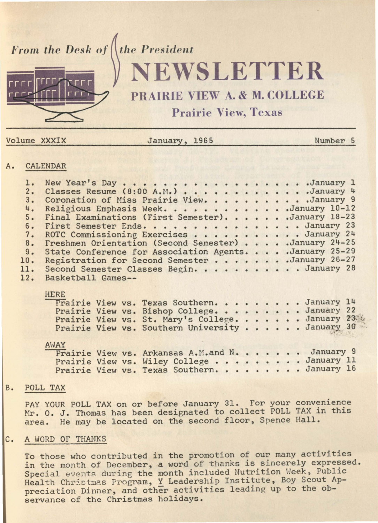*From the Desk of* the President



# **EWSLETTER**

## PRAIRIE VIEW A. & M. COLLEGE

Prairie View, Texas

| Volume<br><b>XXXIX</b> |  |
|------------------------|--|
|------------------------|--|

January, 1965 Number 5

#### A. CALENDAR

| <u>Cristian Driv</u>                                                    |                                                                                                                                                                                                                                                                                                                                                                                                                                                                                                                                     |  |
|-------------------------------------------------------------------------|-------------------------------------------------------------------------------------------------------------------------------------------------------------------------------------------------------------------------------------------------------------------------------------------------------------------------------------------------------------------------------------------------------------------------------------------------------------------------------------------------------------------------------------|--|
| l.<br>2.<br>3.<br>4.<br>5.<br>6.<br>7.<br>8.<br>9.<br>10.<br>11.<br>12. | New Year's Day January 1<br>Classes Resume (8:00 A.M.) January 4<br>Coronation of Miss Prairie View. January 9<br>Religious Emphasis Week. January 10-12<br>Final Examinations (First Semester). January 18-23<br>First Semester Ends. January 23<br>ROTC Commissioning Exercises January 24<br>Freshmen Orientation (Second Semester) January 24-25<br>State Conference for Association Agents. January 25-29<br>Registration for Second Semester January 26-27<br>Second Semester Classes Begin. January 28<br>Basketball Games-- |  |
|                                                                         | <b>HERE</b><br>Prairie View vs. Texas Southern. January 14<br>Prairie View vs. Bishop College. January 22<br>Prairie View vs. St. Mary's College. January 23<br>Prairie View vs. Southern University January 30                                                                                                                                                                                                                                                                                                                     |  |
|                                                                         | AWAY<br>Prairie View vs. Arkansas A.M.and N. January 9<br>Prairie View vs. Wiley College January 11<br>Prairie View vs. Texas Southern. January 16                                                                                                                                                                                                                                                                                                                                                                                  |  |

#### B. POLL TAX

PAY YOUR POLL TAX on or before January 31. For your convenience Mr. O. J. Thomas has been designated to collect POLL TAX in this area. He may be located on the second floor, Spence Hall.

#### C. A WORD OF THANKS

To those who contributed in the promotion of our many activities in the month of December, a word of thanks is sincerely expressed. Special events during the month included Nutrition Week, Public Health Christmas Program, Y Leadership Institute, Boy Scout Appreciation Dinner, and other activities leading up to the observance of the Christmas holidays.